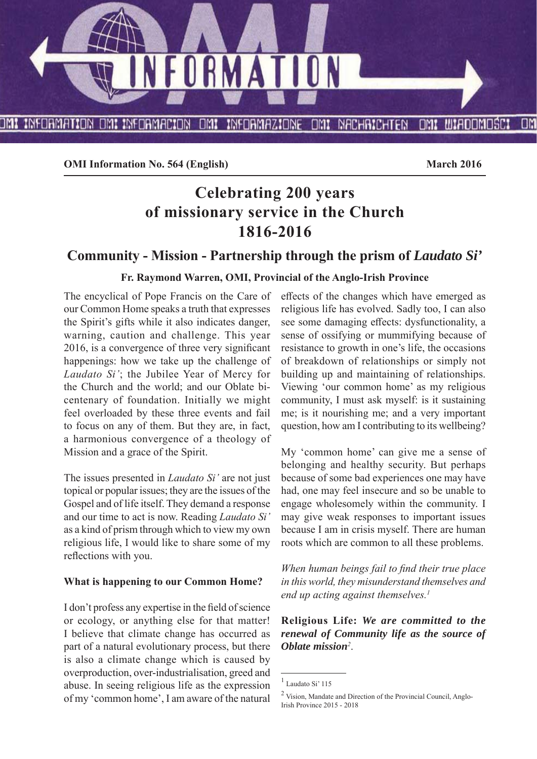

**OMI Information No. 564 (English)** March 2016

# **Celebrating 200 years of missionary service in the Church 1816-2016**

# **Community - Mission - Partnership through the prism of** *Laudato Si'*

#### **Fr. Raymond Warren, OMI, Provincial of the Anglo-Irish Province**

The encyclical of Pope Francis on the Care of our Common Home speaks a truth that expresses the Spirit's gifts while it also indicates danger, warning, caution and challenge. This year 2016, is a convergence of three very significant happenings: how we take up the challenge of *Laudato Si'*; the Jubilee Year of Mercy for the Church and the world; and our Oblate bicentenary of foundation. Initially we might feel overloaded by these three events and fail to focus on any of them. But they are, in fact, a harmonious convergence of a theology of Mission and a grace of the Spirit.

The issues presented in *Laudato Si'* are not just topical or popular issues; they are the issues of the Gospel and of life itself. They demand a response and our time to act is now. Reading *Laudato Si'* as a kind of prism through which to view my own religious life, I would like to share some of my reflections with you.

#### **What is happening to our Common Home?**

I don't profess any expertise in the field of science or ecology, or anything else for that matter! I believe that climate change has occurred as part of a natural evolutionary process, but there is also a climate change which is caused by overproduction, over-industrialisation, greed and abuse. In seeing religious life as the expression of my 'common home', I am aware of the natural effects of the changes which have emerged as religious life has evolved. Sadly too, I can also see some damaging effects: dysfunctionality, a sense of ossifying or mummifying because of resistance to growth in one's life, the occasions of breakdown of relationships or simply not building up and maintaining of relationships. Viewing 'our common home' as my religious community, I must ask myself: is it sustaining me; is it nourishing me; and a very important question, how am I contributing to its wellbeing?

My 'common home' can give me a sense of belonging and healthy security. But perhaps because of some bad experiences one may have had, one may feel insecure and so be unable to engage wholesomely within the community. I may give weak responses to important issues because I am in crisis myself. There are human roots which are common to all these problems.

*When human beings fail to find their true place in this world, they misunderstand themselves and end up acting against themselves.1*

**Religious Life:** *We are committed to the renewal of Community life as the source of Oblate mission<sup>2</sup>* .

<sup>1</sup> Laudato Si' 115

<sup>2</sup> Vision, Mandate and Direction of the Provincial Council, Anglo-Irish Province 2015 - 2018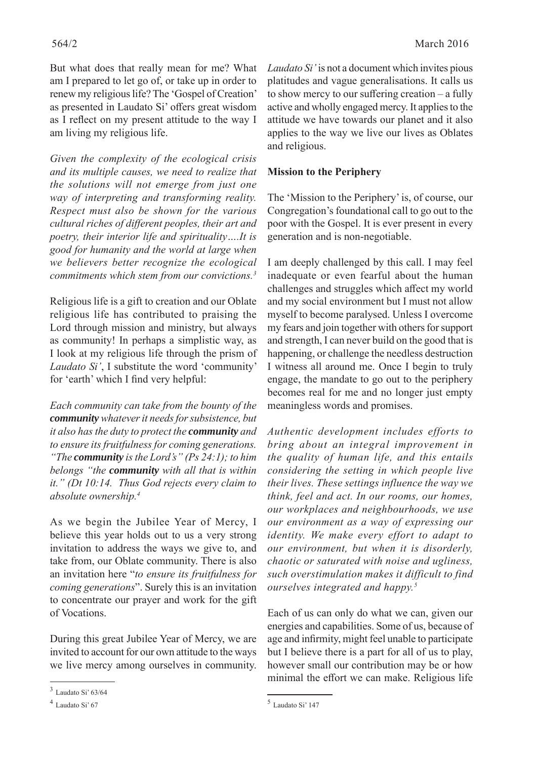But what does that really mean for me? What am I prepared to let go of, or take up in order to renew my religious life? The 'Gospel of Creation' as presented in Laudato Si' offers great wisdom as I reflect on my present attitude to the way I am living my religious life.

*Given the complexity of the ecological crisis and its multiple causes, we need to realize that the solutions will not emerge from just one way of interpreting and transforming reality. Respect must also be shown for the various cultural riches of diff erent peoples, their art and poetry, their interior life and spirituality….It is good for humanity and the world at large when we believers better recognize the ecological commitments which stem from our convictions.3*

Religious life is a gift to creation and our Oblate religious life has contributed to praising the Lord through mission and ministry, but always as community! In perhaps a simplistic way, as I look at my religious life through the prism of *Laudato Si'*, I substitute the word 'community' for 'earth' which I find very helpful:

*Each community can take from the bounty of the community whatever it needs for subsistence, but it also has the duty to protect the community and to ensure its fruitfulness for coming generations. "The community is the Lord's" (Ps 24:1); to him belongs "the community with all that is within it." (Dt 10:14. Thus God rejects every claim to absolute ownership.4*

As we begin the Jubilee Year of Mercy, I believe this year holds out to us a very strong invitation to address the ways we give to, and take from, our Oblate community. There is also an invitation here "*to ensure its fruitfulness for coming generations*". Surely this is an invitation to concentrate our prayer and work for the gift of Vocations.

During this great Jubilee Year of Mercy, we are invited to account for our own attitude to the ways we live mercy among ourselves in community.

*Laudato Si'* is not a document which invites pious platitudes and vague generalisations. It calls us to show mercy to our suffering creation  $-$  a fully active and wholly engaged mercy. It applies to the attitude we have towards our planet and it also applies to the way we live our lives as Oblates and religious.

#### **Mission to the Periphery**

The 'Mission to the Periphery' is, of course, our Congregation's foundational call to go out to the poor with the Gospel. It is ever present in every generation and is non-negotiable.

I am deeply challenged by this call. I may feel inadequate or even fearful about the human challenges and struggles which affect my world and my social environment but I must not allow myself to become paralysed. Unless I overcome my fears and join together with others for support and strength, I can never build on the good that is happening, or challenge the needless destruction I witness all around me. Once I begin to truly engage, the mandate to go out to the periphery becomes real for me and no longer just empty meaningless words and promises.

*Authentic development includes efforts to bring about an integral improvement in the quality of human life, and this entails considering the setting in which people live their lives. These settings influence the way we think, feel and act. In our rooms, our homes, our workplaces and neighbourhoods, we use our environment as a way of expressing our identity. We make every effort to adapt to our environment, but when it is disorderly, chaotic or saturated with noise and ugliness, such overstimulation makes it difficult to find ourselves integrated and happy.5*

Each of us can only do what we can, given our energies and capabilities. Some of us, because of age and infirmity, might feel unable to participate but I believe there is a part for all of us to play, however small our contribution may be or how minimal the effort we can make. Religious life

<sup>3</sup> Laudato Si' 63/64

<sup>4</sup> Laudato Si' 67

<sup>5</sup> Laudato Si' 147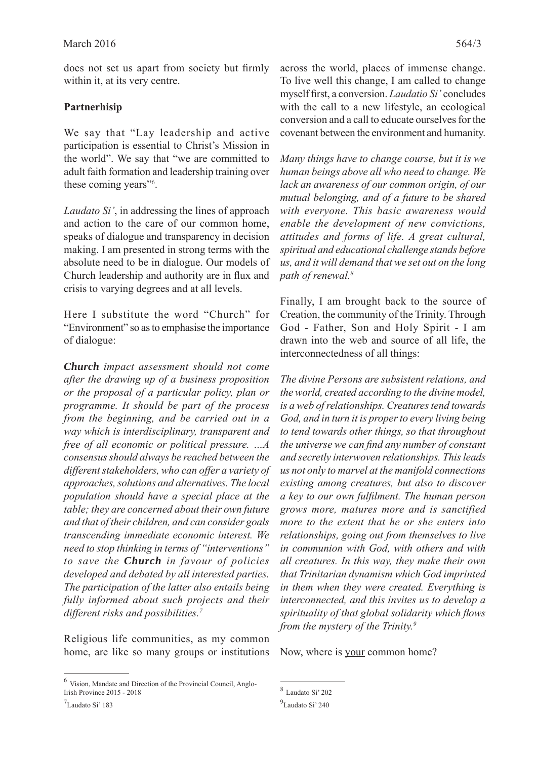does not set us apart from society but firmly within it, at its very centre.

# **Partnerhisip**

We say that "Lay leadership and active participation is essential to Christ's Mission in the world". We say that "we are committed to adult faith formation and leadership training over these coming years"<sup>6</sup>.

*Laudato Si'*, in addressing the lines of approach and action to the care of our common home, speaks of dialogue and transparency in decision making. I am presented in strong terms with the absolute need to be in dialogue. Our models of Church leadership and authority are in flux and crisis to varying degrees and at all levels.

Here I substitute the word "Church" for "Environment" so as to emphasise the importance of dialogue:

*Church impact assessment should not come after the drawing up of a business proposition or the proposal of a particular policy, plan or programme. It should be part of the process from the beginning, and be carried out in a way which is interdisciplinary, transparent and free of all economic or political pressure. …A consensus should always be reached between the diff erent stakeholders, who can off er a variety of approaches, solutions and alternatives. The local population should have a special place at the table; they are concerned about their own future and that of their children, and can consider goals transcending immediate economic interest. We need to stop thinking in terms of "interventions" to save the Church in favour of policies developed and debated by all interested parties. The participation of the latter also entails being fully informed about such projects and their diff erent risks and possibilities.7*

Religious life communities, as my common home, are like so many groups or institutions across the world, places of immense change. To live well this change, I am called to change myself first, a conversion. *Laudatio Si'* concludes with the call to a new lifestyle, an ecological conversion and a call to educate ourselves for the covenant between the environment and humanity.

*Many things have to change course, but it is we human beings above all who need to change. We lack an awareness of our common origin, of our mutual belonging, and of a future to be shared with everyone. This basic awareness would enable the development of new convictions, attitudes and forms of life. A great cultural, spiritual and educational challenge stands before us, and it will demand that we set out on the long path of renewal.8*

Finally, I am brought back to the source of Creation, the community of the Trinity. Through God - Father, Son and Holy Spirit - I am drawn into the web and source of all life, the interconnectedness of all things:

*The divine Persons are subsistent relations, and the world, created according to the divine model, is a web of relationships. Creatures tend towards God, and in turn it is proper to every living being to tend towards other things, so that throughout the universe we can find any number of constant and secretly interwoven relationships. This leads us not only to marvel at the manifold connections existing among creatures, but also to discover a key to our own fulfi lment. The human person grows more, matures more and is sanctified more to the extent that he or she enters into relationships, going out from themselves to live in communion with God, with others and with all creatures. In this way, they make their own that Trinitarian dynamism which God imprinted in them when they were created. Everything is interconnected, and this invites us to develop a spirituality of that global solidarity which flows from the mystery of the Trinity.9*

Now, where is <u>your</u> common home?

<sup>6</sup> Vision, Mandate and Direction of the Provincial Council, Anglo-Irish Province 2015 - 2018

<sup>7</sup> Laudato Si' 183

<sup>8</sup> Laudato Si' 202

<sup>&</sup>lt;sup>9</sup>Laudato Si' 240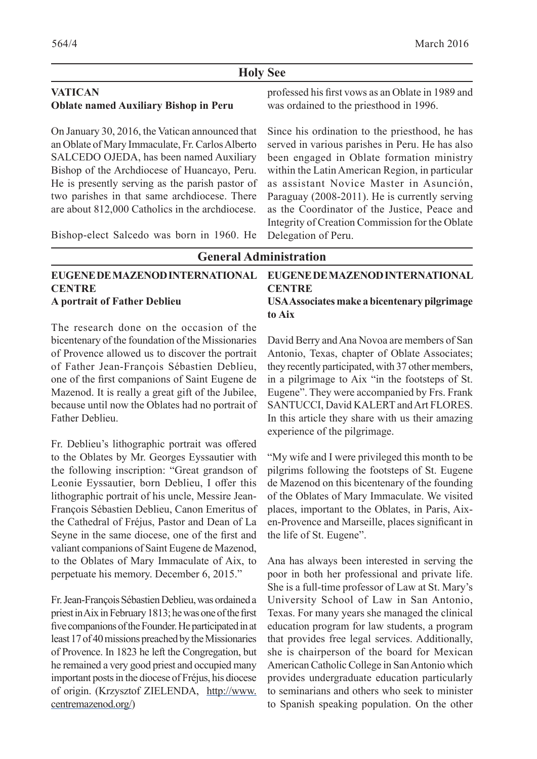#### **Holy See**

#### **VATICAN Oblate named Auxiliary Bishop in Peru**

On January 30, 2016, the Vatican announced that an Oblate of Mary Immaculate, Fr. Carlos Alberto SALCEDO OJEDA, has been named Auxiliary Bishop of the Archdiocese of Huancayo, Peru. He is presently serving as the parish pastor of two parishes in that same archdiocese. There are about 812,000 Catholics in the archdiocese.

Bishop-elect Salcedo was born in 1960. He

professed his first vows as an Oblate in 1989 and was ordained to the priesthood in 1996.

Since his ordination to the priesthood, he has served in various parishes in Peru. He has also been engaged in Oblate formation ministry within the Latin American Region, in particular as assistant Novice Master in Asunción, Paraguay (2008-2011). He is currently serving as the Coordinator of the Justice, Peace and Integrity of Creation Commission for the Oblate Delegation of Peru.

**General Administration EUGENE DE MAZENOD INTERNATIONAL CENTRE A portrait of Father Deblieu EUGENE DE MAZENOD INTERNATIONAL CENTRE USA Associates make a bicentenary pilgrimage to Aix**

The research done on the occasion of the bicentenary of the foundation of the Missionaries of Provence allowed us to discover the portrait of Father Jean-François Sébastien Deblieu, one of the first companions of Saint Eugene de Mazenod. It is really a great gift of the Jubilee, because until now the Oblates had no portrait of Father Deblieu.

Fr. Deblieu's lithographic portrait was offered to the Oblates by Mr. Georges Eyssautier with the following inscription: "Great grandson of Leonie Eyssautier, born Deblieu, I offer this lithographic portrait of his uncle, Messire Jean-François Sébastien Deblieu, Canon Emeritus of the Cathedral of Fréjus, Pastor and Dean of La Seyne in the same diocese, one of the first and valiant companions of Saint Eugene de Mazenod, to the Oblates of Mary Immaculate of Aix, to perpetuate his memory. December 6, 2015."

Fr. Jean-François Sébastien Deblieu, was ordained a priest in Aix in February 1813; he was one of the first five companions of the Founder. He participated in at least 17 of 40 missions preached by the Missionaries of Provence. In 1823 he left the Congregation, but he remained a very good priest and occupied many important posts in the diocese of Fréjus, his diocese of origin. (Krzysztof ZIELENDA, http://www. centremazenod.org/)

David Berry and Ana Novoa are members of San Antonio, Texas, chapter of Oblate Associates; they recently participated, with 37 other members, in a pilgrimage to Aix "in the footsteps of St. Eugene". They were accompanied by Frs. Frank SANTUCCI, David KALERT and Art FLORES. In this article they share with us their amazing experience of the pilgrimage.

"My wife and I were privileged this month to be pilgrims following the footsteps of St. Eugene de Mazenod on this bicentenary of the founding of the Oblates of Mary Immaculate. We visited places, important to the Oblates, in Paris, Aixen-Provence and Marseille, places significant in the life of St. Eugene".

Ana has always been interested in serving the poor in both her professional and private life. She is a full-time professor of Law at St. Mary's University School of Law in San Antonio, Texas. For many years she managed the clinical education program for law students, a program that provides free legal services. Additionally, she is chairperson of the board for Mexican American Catholic College in San Antonio which provides undergraduate education particularly to seminarians and others who seek to minister to Spanish speaking population. On the other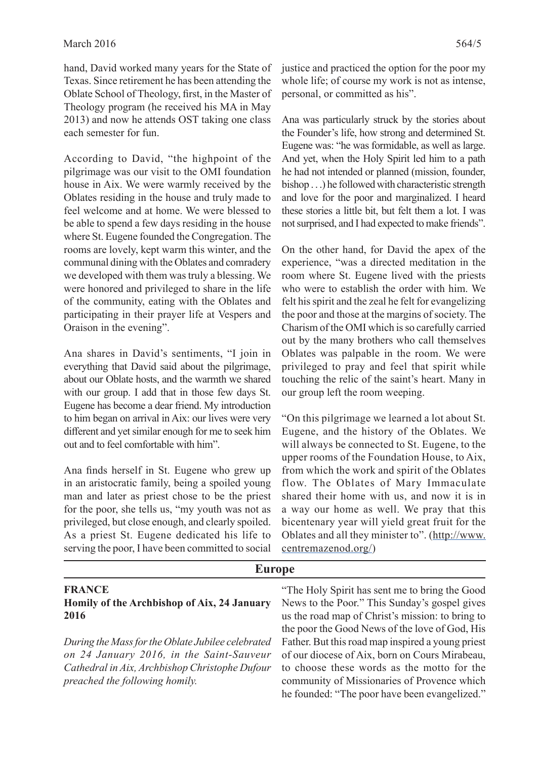hand, David worked many years for the State of Texas. Since retirement he has been attending the Oblate School of Theology, first, in the Master of Theology program (he received his MA in May 2013) and now he attends OST taking one class each semester for fun.

According to David, "the highpoint of the pilgrimage was our visit to the OMI foundation house in Aix. We were warmly received by the Oblates residing in the house and truly made to feel welcome and at home. We were blessed to be able to spend a few days residing in the house where St. Eugene founded the Congregation. The rooms are lovely, kept warm this winter, and the communal dining with the Oblates and comradery we developed with them was truly a blessing. We were honored and privileged to share in the life of the community, eating with the Oblates and participating in their prayer life at Vespers and Oraison in the evening".

Ana shares in David's sentiments, "I join in everything that David said about the pilgrimage, about our Oblate hosts, and the warmth we shared with our group. I add that in those few days St. Eugene has become a dear friend. My introduction to him began on arrival in Aix: our lives were very different and yet similar enough for me to seek him out and to feel comfortable with him".

Ana finds herself in St. Eugene who grew up in an aristocratic family, being a spoiled young man and later as priest chose to be the priest for the poor, she tells us, "my youth was not as privileged, but close enough, and clearly spoiled. As a priest St. Eugene dedicated his life to serving the poor, I have been committed to social justice and practiced the option for the poor my whole life; of course my work is not as intense, personal, or committed as his".

Ana was particularly struck by the stories about the Founder's life, how strong and determined St. Eugene was: "he was formidable, as well as large. And yet, when the Holy Spirit led him to a path he had not intended or planned (mission, founder, bishop . . .) he followed with characteristic strength and love for the poor and marginalized. I heard these stories a little bit, but felt them a lot. I was not surprised, and I had expected to make friends".

On the other hand, for David the apex of the experience, "was a directed meditation in the room where St. Eugene lived with the priests who were to establish the order with him. We felt his spirit and the zeal he felt for evangelizing the poor and those at the margins of society. The Charism of the OMI which is so carefully carried out by the many brothers who call themselves Oblates was palpable in the room. We were privileged to pray and feel that spirit while touching the relic of the saint's heart. Many in our group left the room weeping.

"On this pilgrimage we learned a lot about St. Eugene, and the history of the Oblates. We will always be connected to St. Eugene, to the upper rooms of the Foundation House, to Aix, from which the work and spirit of the Oblates flow. The Oblates of Mary Immaculate shared their home with us, and now it is in a way our home as well. We pray that this bicentenary year will yield great fruit for the Oblates and all they minister to". (http://www. centremazenod.org/)

| Europe                                            |                                                   |  |  |
|---------------------------------------------------|---------------------------------------------------|--|--|
| <b>FRANCE</b>                                     | "The Holy Spirit has sent me to bring the Good"   |  |  |
| Homily of the Archbishop of Aix, 24 January       | News to the Poor." This Sunday's gospel gives     |  |  |
| 2016                                              | us the road map of Christ's mission: to bring to  |  |  |
|                                                   | the poor the Good News of the love of God, His    |  |  |
| During the Mass for the Oblate Jubilee celebrated | Father. But this road map inspired a young priest |  |  |
| on 24 January 2016, in the Saint-Sauveur          | of our diocese of Aix, born on Cours Mirabeau,    |  |  |
| Cathedral in Aix, Archbishop Christophe Dufour    | to choose these words as the motto for the        |  |  |
| preached the following homily.                    | community of Missionaries of Provence which       |  |  |
|                                                   | he founded: "The poor have been evangelized."     |  |  |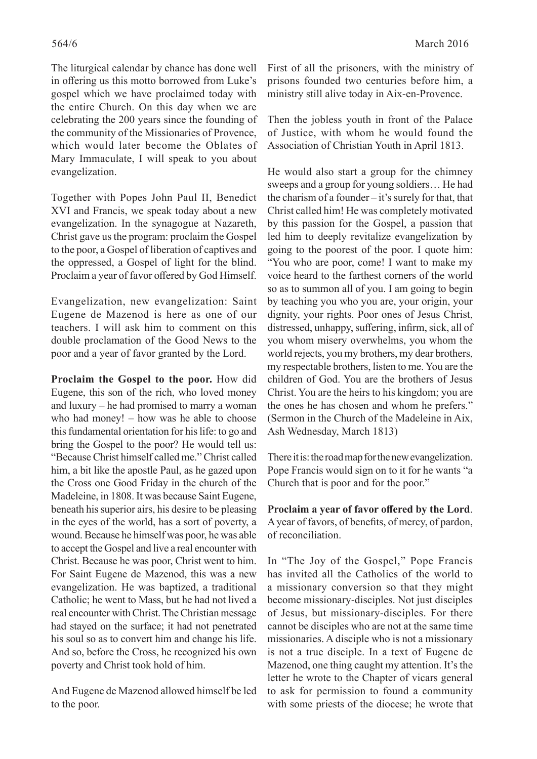The liturgical calendar by chance has done well in offering us this motto borrowed from Luke's gospel which we have proclaimed today with the entire Church. On this day when we are celebrating the 200 years since the founding of the community of the Missionaries of Provence, which would later become the Oblates of Mary Immaculate, I will speak to you about evangelization.

Together with Popes John Paul II, Benedict XVI and Francis, we speak today about a new evangelization. In the synagogue at Nazareth, Christ gave us the program: proclaim the Gospel to the poor, a Gospel of liberation of captives and the oppressed, a Gospel of light for the blind. Proclaim a year of favor offered by God Himself.

Evangelization, new evangelization: Saint Eugene de Mazenod is here as one of our teachers. I will ask him to comment on this double proclamation of the Good News to the poor and a year of favor granted by the Lord.

**Proclaim the Gospel to the poor.** How did Eugene, this son of the rich, who loved money and luxury – he had promised to marry a woman who had money! – how was he able to choose this fundamental orientation for his life: to go and bring the Gospel to the poor? He would tell us: "Because Christ himself called me." Christ called him, a bit like the apostle Paul, as he gazed upon the Cross one Good Friday in the church of the Madeleine, in 1808. It was because Saint Eugene, beneath his superior airs, his desire to be pleasing in the eyes of the world, has a sort of poverty, a wound. Because he himself was poor, he was able to accept the Gospel and live a real encounter with Christ. Because he was poor, Christ went to him. For Saint Eugene de Mazenod, this was a new evangelization. He was baptized, a traditional Catholic; he went to Mass, but he had not lived a real encounter with Christ. The Christian message had stayed on the surface; it had not penetrated his soul so as to convert him and change his life. And so, before the Cross, he recognized his own poverty and Christ took hold of him.

And Eugene de Mazenod allowed himself be led to the poor.

Then the jobless youth in front of the Palace of Justice, with whom he would found the Association of Christian Youth in April 1813.

He would also start a group for the chimney sweeps and a group for young soldiers… He had the charism of a founder – it's surely for that, that Christ called him! He was completely motivated by this passion for the Gospel, a passion that led him to deeply revitalize evangelization by going to the poorest of the poor. I quote him: "You who are poor, come! I want to make my voice heard to the farthest corners of the world so as to summon all of you. I am going to begin by teaching you who you are, your origin, your dignity, your rights. Poor ones of Jesus Christ, distressed, unhappy, suffering, infirm, sick, all of you whom misery overwhelms, you whom the world rejects, you my brothers, my dear brothers, my respectable brothers, listen to me. You are the children of God. You are the brothers of Jesus Christ. You are the heirs to his kingdom; you are the ones he has chosen and whom he prefers." (Sermon in the Church of the Madeleine in Aix, Ash Wednesday, March 1813)

There it is: the road map for the new evangelization. Pope Francis would sign on to it for he wants "a Church that is poor and for the poor."

Proclaim a year of favor offered by the Lord. A year of favors, of benefits, of mercy, of pardon, of reconciliation.

In "The Joy of the Gospel," Pope Francis has invited all the Catholics of the world to a missionary conversion so that they might become missionary-disciples. Not just disciples of Jesus, but missionary-disciples. For there cannot be disciples who are not at the same time missionaries. A disciple who is not a missionary is not a true disciple. In a text of Eugene de Mazenod, one thing caught my attention. It's the letter he wrote to the Chapter of vicars general to ask for permission to found a community with some priests of the diocese; he wrote that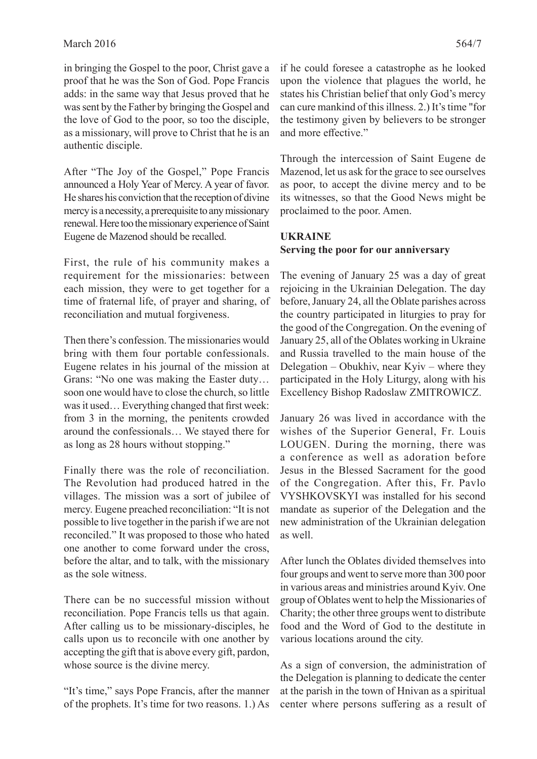in bringing the Gospel to the poor, Christ gave a proof that he was the Son of God. Pope Francis adds: in the same way that Jesus proved that he was sent by the Father by bringing the Gospel and the love of God to the poor, so too the disciple, as a missionary, will prove to Christ that he is an authentic disciple.

After "The Joy of the Gospel," Pope Francis announced a Holy Year of Mercy. A year of favor. He shares his conviction that the reception of divine mercy is a necessity, a prerequisite to any missionary renewal. Here too the missionary experience of Saint Eugene de Mazenod should be recalled.

First, the rule of his community makes a requirement for the missionaries: between each mission, they were to get together for a time of fraternal life, of prayer and sharing, of reconciliation and mutual forgiveness.

Then there's confession. The missionaries would bring with them four portable confessionals. Eugene relates in his journal of the mission at Grans: "No one was making the Easter duty… soon one would have to close the church, so little was it used... Everything changed that first week: from 3 in the morning, the penitents crowded around the confessionals… We stayed there for as long as 28 hours without stopping."

Finally there was the role of reconciliation. The Revolution had produced hatred in the villages. The mission was a sort of jubilee of mercy. Eugene preached reconciliation: "It is not possible to live together in the parish if we are not reconciled." It was proposed to those who hated one another to come forward under the cross, before the altar, and to talk, with the missionary as the sole witness.

There can be no successful mission without reconciliation. Pope Francis tells us that again. After calling us to be missionary-disciples, he calls upon us to reconcile with one another by accepting the gift that is above every gift, pardon, whose source is the divine mercy.

"It's time," says Pope Francis, after the manner of the prophets. It's time for two reasons. 1.) As

if he could foresee a catastrophe as he looked upon the violence that plagues the world, he states his Christian belief that only God's mercy can cure mankind of this illness. 2.) It's time "for the testimony given by believers to be stronger and more effective."

Through the intercession of Saint Eugene de Mazenod, let us ask for the grace to see ourselves as poor, to accept the divine mercy and to be its witnesses, so that the Good News might be proclaimed to the poor. Amen.

# **UKRAINE Serving the poor for our anniversary**

The evening of January 25 was a day of great rejoicing in the Ukrainian Delegation. The day before, January 24, all the Oblate parishes across the country participated in liturgies to pray for the good of the Congregation. On the evening of January 25, all of the Oblates working in Ukraine and Russia travelled to the main house of the Delegation – Obukhiv, near Kyiv – where they participated in the Holy Liturgy, along with his Excellency Bishop Radoslaw ZMITROWICZ.

January 26 was lived in accordance with the wishes of the Superior General, Fr. Louis LOUGEN. During the morning, there was a conference as well as adoration before Jesus in the Blessed Sacrament for the good of the Congregation. After this, Fr. Pavlo VYSHKOVSKYI was installed for his second mandate as superior of the Delegation and the new administration of the Ukrainian delegation as well.

After lunch the Oblates divided themselves into four groups and went to serve more than 300 poor in various areas and ministries around Kyiv. One group of Oblates went to help the Missionaries of Charity; the other three groups went to distribute food and the Word of God to the destitute in various locations around the city.

As a sign of conversion, the administration of the Delegation is planning to dedicate the center at the parish in the town of Hnivan as a spiritual center where persons suffering as a result of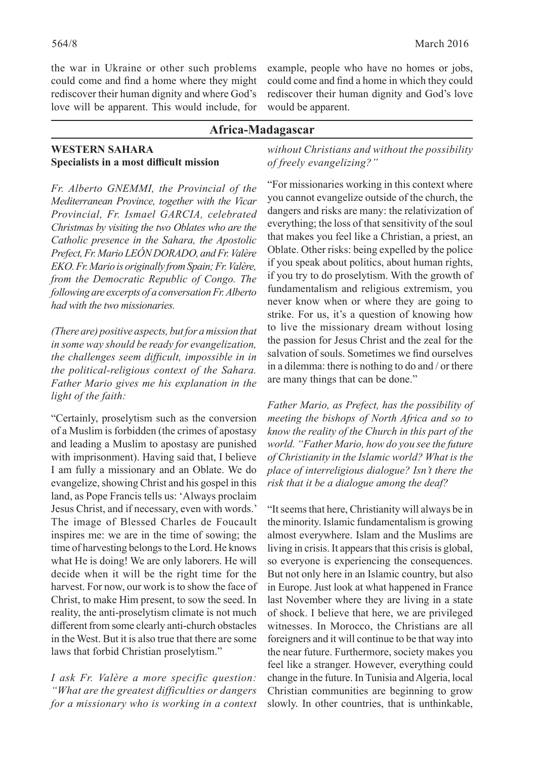the war in Ukraine or other such problems could come and find a home where they might rediscover their human dignity and where God's love will be apparent. This would include, for example, people who have no homes or jobs, could come and find a home in which they could rediscover their human dignity and God's love would be apparent.

#### **Africa-Madagascar**

#### **WESTERN SAHARA Specialists in a most difficult mission**

*Fr. Alberto GNEMMI, the Provincial of the Mediterranean Province, together with the Vicar Provincial, Fr. Ismael GARCIA, celebrated Christmas by visiting the two Oblates who are the Catholic presence in the Sahara, the Apostolic Prefect, Fr. Mario LEÓN DORADO, and Fr. Valère EKO. Fr. Mario is originally from Spain; Fr. Valère, from the Democratic Republic of Congo. The following are excerpts of a conversation Fr. Alberto had with the two missionaries.*

*(There are) positive aspects, but for a mission that in some way should be ready for evangelization, the challenges seem difficult, impossible in in the political-religious context of the Sahara. Father Mario gives me his explanation in the light of the faith:*

"Certainly, proselytism such as the conversion of a Muslim is forbidden (the crimes of apostasy and leading a Muslim to apostasy are punished with imprisonment). Having said that, I believe I am fully a missionary and an Oblate. We do evangelize, showing Christ and his gospel in this land, as Pope Francis tells us: 'Always proclaim Jesus Christ, and if necessary, even with words.' The image of Blessed Charles de Foucault inspires me: we are in the time of sowing; the time of harvesting belongs to the Lord. He knows what He is doing! We are only laborers. He will decide when it will be the right time for the harvest. For now, our work is to show the face of Christ, to make Him present, to sow the seed. In reality, the anti-proselytism climate is not much different from some clearly anti-church obstacles in the West. But it is also true that there are some laws that forbid Christian proselytism."

*I ask Fr. Valère a more specific question: "What are the greatest difficulties or dangers for a missionary who is working in a context*  *without Christians and without the possibility of freely evangelizing?"*

"For missionaries working in this context where you cannot evangelize outside of the church, the dangers and risks are many: the relativization of everything; the loss of that sensitivity of the soul that makes you feel like a Christian, a priest, an Oblate. Other risks: being expelled by the police if you speak about politics, about human rights, if you try to do proselytism. With the growth of fundamentalism and religious extremism, you never know when or where they are going to strike. For us, it's a question of knowing how to live the missionary dream without losing the passion for Jesus Christ and the zeal for the salvation of souls. Sometimes we find ourselves in a dilemma: there is nothing to do and / or there are many things that can be done."

*Father Mario, as Prefect, has the possibility of meeting the bishops of North Africa and so to know the reality of the Church in this part of the world. "Father Mario, how do you see the future of Christianity in the Islamic world? What is the place of interreligious dialogue? Isn't there the risk that it be a dialogue among the deaf?*

"It seems that here, Christianity will always be in the minority. Islamic fundamentalism is growing almost everywhere. Islam and the Muslims are living in crisis. It appears that this crisis is global, so everyone is experiencing the consequences. But not only here in an Islamic country, but also in Europe. Just look at what happened in France last November where they are living in a state of shock. I believe that here, we are privileged witnesses. In Morocco, the Christians are all foreigners and it will continue to be that way into the near future. Furthermore, society makes you feel like a stranger. However, everything could change in the future. In Tunisia and Algeria, local Christian communities are beginning to grow slowly. In other countries, that is unthinkable,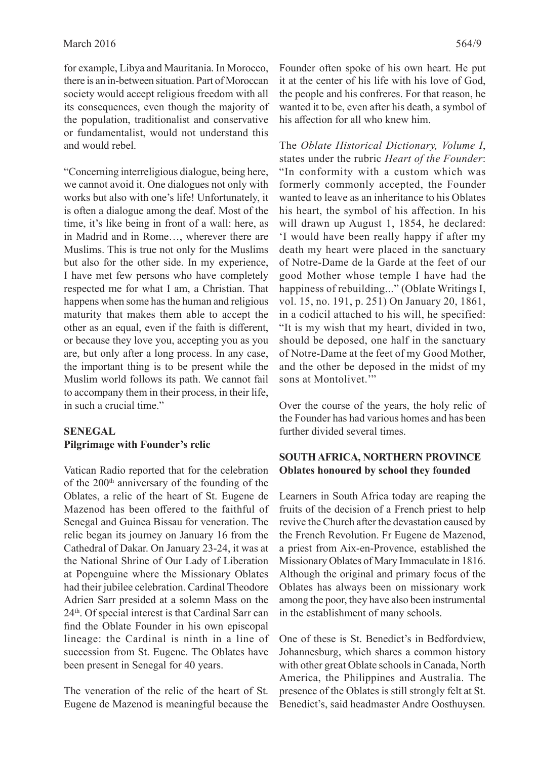for example, Libya and Mauritania. In Morocco, there is an in-between situation. Part of Moroccan society would accept religious freedom with all its consequences, even though the majority of the population, traditionalist and conservative or fundamentalist, would not understand this and would rebel.

"Concerning interreligious dialogue, being here, we cannot avoid it. One dialogues not only with works but also with one's life! Unfortunately, it is often a dialogue among the deaf. Most of the time, it's like being in front of a wall: here, as in Madrid and in Rome…, wherever there are Muslims. This is true not only for the Muslims but also for the other side. In my experience, I have met few persons who have completely respected me for what I am, a Christian. That happens when some has the human and religious maturity that makes them able to accept the other as an equal, even if the faith is different, or because they love you, accepting you as you are, but only after a long process. In any case, the important thing is to be present while the Muslim world follows its path. We cannot fail to accompany them in their process, in their life, in such a crucial time."

# **SENEGAL Pilgrimage with Founder's relic**

Vatican Radio reported that for the celebration of the 200<sup>th</sup> anniversary of the founding of the Oblates, a relic of the heart of St. Eugene de Mazenod has been offered to the faithful of Senegal and Guinea Bissau for veneration. The relic began its journey on January 16 from the Cathedral of Dakar. On January 23-24, it was at the National Shrine of Our Lady of Liberation at Popenguine where the Missionary Oblates had their jubilee celebration. Cardinal Theodore Adrien Sarr presided at a solemn Mass on the 24<sup>th</sup>. Of special interest is that Cardinal Sarr can find the Oblate Founder in his own episcopal lineage: the Cardinal is ninth in a line of succession from St. Eugene. The Oblates have been present in Senegal for 40 years.

The veneration of the relic of the heart of St. Eugene de Mazenod is meaningful because the The *Oblate Historical Dictionary, Volume I*, states under the rubric *Heart of the Founder*: "In conformity with a custom which was formerly commonly accepted, the Founder wanted to leave as an inheritance to his Oblates his heart, the symbol of his affection. In his will drawn up August 1, 1854, he declared: 'I would have been really happy if after my death my heart were placed in the sanctuary of Notre-Dame de la Garde at the feet of our good Mother whose temple I have had the happiness of rebuilding..." (Oblate Writings I, vol. 15, no. 191, p. 251) On January 20, 1861, in a codicil attached to his will, he specified: "It is my wish that my heart, divided in two, should be deposed, one half in the sanctuary of Notre-Dame at the feet of my Good Mother, and the other be deposed in the midst of my sons at Montolivet."

Over the course of the years, the holy relic of the Founder has had various homes and has been further divided several times.

# **SOUTH AFRICA, NORTHERN PROVINCE Oblates honoured by school they founded**

Learners in South Africa today are reaping the fruits of the decision of a French priest to help revive the Church after the devastation caused by the French Revolution. Fr Eugene de Mazenod, a priest from Aix-en-Provence, established the Missionary Oblates of Mary Immaculate in 1816. Although the original and primary focus of the Oblates has always been on missionary work among the poor, they have also been instrumental in the establishment of many schools.

One of these is St. Benedict's in Bedfordview, Johannesburg, which shares a common history with other great Oblate schools in Canada, North America, the Philippines and Australia. The presence of the Oblates is still strongly felt at St. Benedict's, said headmaster Andre Oosthuysen.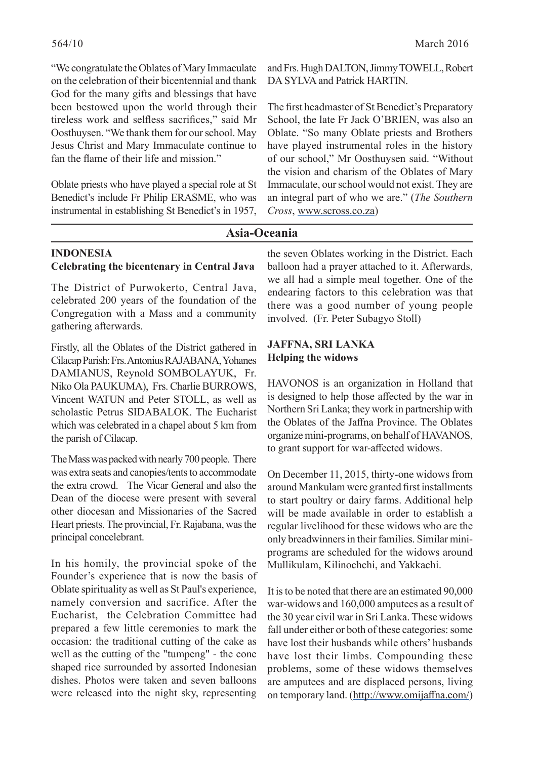"We congratulate the Oblates of Mary Immaculate on the celebration of their bicentennial and thank God for the many gifts and blessings that have been bestowed upon the world through their tireless work and selfless sacrifices," said Mr Oosthuysen. "We thank them for our school. May Jesus Christ and Mary Immaculate continue to fan the flame of their life and mission."

Oblate priests who have played a special role at St Benedict's include Fr Philip ERASME, who was instrumental in establishing St Benedict's in 1957,

and Frs. Hugh DALTON, Jimmy TOWELL, Robert DA SYLVA and Patrick HARTIN.

The first headmaster of St Benedict's Preparatory School, the late Fr Jack O'BRIEN, was also an Oblate. "So many Oblate priests and Brothers have played instrumental roles in the history of our school," Mr Oosthuysen said. "Without the vision and charism of the Oblates of Mary Immaculate, our school would not exist. They are an integral part of who we are." (*The Southern Cross*, www.scross.co.za)

#### **Asia-Oceania**

#### **INDONESIA Celebrating the bicentenary in Central Java**

The District of Purwokerto, Central Java, celebrated 200 years of the foundation of the Congregation with a Mass and a community gathering afterwards.

Firstly, all the Oblates of the District gathered in Cilacap Parish: Frs. Antonius RAJABANA, Yohanes DAMIANUS, Reynold SOMBOLAYUK, Fr. Niko Ola PAUKUMA), Frs. Charlie BURROWS, Vincent WATUN and Peter STOLL, as well as scholastic Petrus SIDABALOK. The Eucharist which was celebrated in a chapel about 5 km from the parish of Cilacap.

The Mass was packed with nearly 700 people. There was extra seats and canopies/tents to accommodate the extra crowd. The Vicar General and also the Dean of the diocese were present with several other diocesan and Missionaries of the Sacred Heart priests. The provincial, Fr. Rajabana, was the principal concelebrant.

In his homily, the provincial spoke of the Founder's experience that is now the basis of Oblate spirituality as well as St Paul's experience, namely conversion and sacrifice. After the Eucharist, the Celebration Committee had prepared a few little ceremonies to mark the occasion: the traditional cutting of the cake as well as the cutting of the "tumpeng" - the cone shaped rice surrounded by assorted Indonesian dishes. Photos were taken and seven balloons were released into the night sky, representing

the seven Oblates working in the District. Each balloon had a prayer attached to it. Afterwards, we all had a simple meal together. One of the endearing factors to this celebration was that there was a good number of young people involved. (Fr. Peter Subagyo Stoll)

#### **JAFFNA, SRI LANKA Helping the widows**

HAVONOS is an organization in Holland that is designed to help those affected by the war in Northern Sri Lanka; they work in partnership with the Oblates of the Jaffna Province. The Oblates organize mini-programs, on behalf of HAVANOS, to grant support for war-affected widows.

On December 11, 2015, thirty-one widows from around Mankulam were granted first installments to start poultry or dairy farms. Additional help will be made available in order to establish a regular livelihood for these widows who are the only breadwinners in their families. Similar miniprograms are scheduled for the widows around Mullikulam, Kilinochchi, and Yakkachi.

It is to be noted that there are an estimated 90,000 war-widows and 160,000 amputees as a result of the 30 year civil war in Sri Lanka. These widows fall under either or both of these categories: some have lost their husbands while others' husbands have lost their limbs. Compounding these problems, some of these widows themselves are amputees and are displaced persons, living on temporary land. (http://www.omijaffna.com/)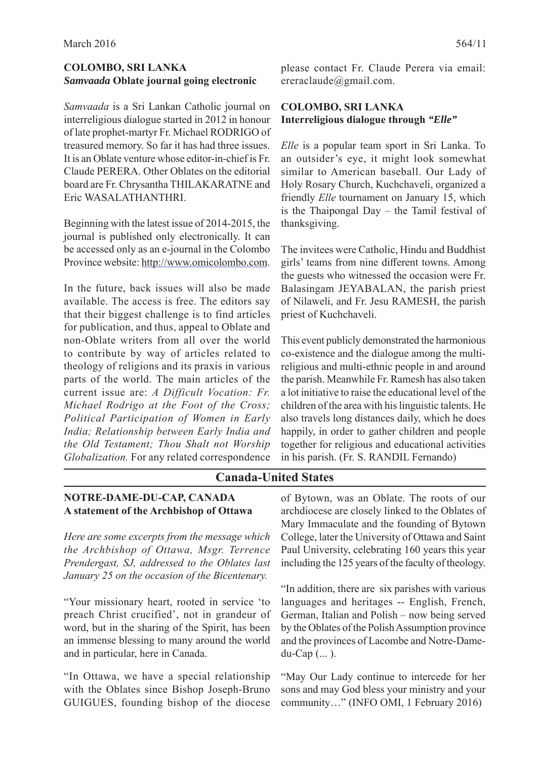# **COLOMBO, SRI LANKA** *Samvaada* **Oblate journal going electronic**

*Samvaada* is a Sri Lankan Catholic journal on interreligious dialogue started in 2012 in honour of late prophet-martyr Fr. Michael RODRIGO of treasured memory. So far it has had three issues. It is an Oblate venture whose editor-in-chief is Fr. Claude PERERA. Other Oblates on the editorial board are Fr. Chrysantha THILAKARATNE and Eric WASALATHANTHRI.

Beginning with the latest issue of 2014-2015, the journal is published only electronically. It can be accessed only as an e-journal in the Colombo Province website: http://www.omicolombo.com.

In the future, back issues will also be made available. The access is free. The editors say that their biggest challenge is to find articles for publication, and thus, appeal to Oblate and non-Oblate writers from all over the world to contribute by way of articles related to theology of religions and its praxis in various parts of the world. The main articles of the current issue are: *A Difficult Vocation: Fr. Michael Rodrigo at the Foot of the Cross; Political Participation of Women in Early India; Relationship between Early India and the Old Testament; Thou Shalt not Worship Globalization.* For any related correspondence

please contact Fr. Claude Perera via email: ereraclaude@gmail.com.

# **COLOMBO, SRI LANKA Interreligious dialogue through** *"Elle"*

*Elle* is a popular team sport in Sri Lanka. To an outsider's eye, it might look somewhat similar to American baseball. Our Lady of Holy Rosary Church, Kuchchaveli, organized a friendly *Elle* tournament on January 15, which is the Thaipongal Day – the Tamil festival of thanksgiving.

The invitees were Catholic, Hindu and Buddhist girls' teams from nine different towns. Among the guests who witnessed the occasion were Fr. Balasingam JEYABALAN, the parish priest of Nilaweli, and Fr. Jesu RAMESH, the parish priest of Kuchchaveli.

This event publicly demonstrated the harmonious co-existence and the dialogue among the multireligious and multi-ethnic people in and around the parish. Meanwhile Fr. Ramesh has also taken a lot initiative to raise the educational level of the children of the area with his linguistic talents. He also travels long distances daily, which he does happily, in order to gather children and people together for religious and educational activities in his parish. (Fr. S. RANDIL Fernando)

# **Canada-United States**

#### **NOTRE-DAME-DU-CAP, CANADA A statement of the Archbishop of Ottawa**

*Here are some excerpts from the message which the Archbishop of Ottawa, Msgr. Terrence Prendergast, SJ, addressed to the Oblates last January 25 on the occasion of the Bicentenary.*

"Your missionary heart, rooted in service 'to preach Christ crucified', not in grandeur of word, but in the sharing of the Spirit, has been an immense blessing to many around the world and in particular, here in Canada.

"In Ottawa, we have a special relationship with the Oblates since Bishop Joseph-Bruno GUIGUES, founding bishop of the diocese of Bytown, was an Oblate. The roots of our archdiocese are closely linked to the Oblates of Mary Immaculate and the founding of Bytown College, later the University of Ottawa and Saint Paul University, celebrating 160 years this year including the 125 years of the faculty of theology.

"In addition, there are six parishes with various languages and heritages -- English, French, German, Italian and Polish – now being served by the Oblates of the Polish Assumption province and the provinces of Lacombe and Notre-Damedu-Cap (... ).

"May Our Lady continue to intercede for her sons and may God bless your ministry and your community…" (INFO OMI, 1 February 2016)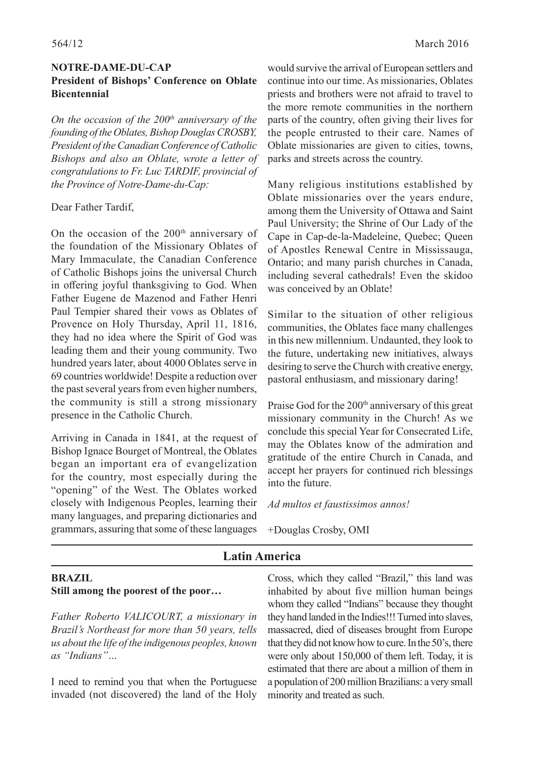## **NOTRE-DAME-DU-CAP President of Bishops' Conference on Oblate Bicentennial**

*On the occasion of the 200<sup>th</sup> anniversary of the founding of the Oblates, Bishop Douglas CROSBY, President of the Canadian Conference of Catholic Bishops and also an Oblate, wrote a letter of congratulations to Fr. Luc TARDIF, provincial of the Province of Notre-Dame-du-Cap:*

#### Dear Father Tardif,

On the occasion of the  $200<sup>th</sup>$  anniversary of the foundation of the Missionary Oblates of Mary Immaculate, the Canadian Conference of Catholic Bishops joins the universal Church in offering joyful thanksgiving to God. When Father Eugene de Mazenod and Father Henri Paul Tempier shared their vows as Oblates of Provence on Holy Thursday, April 11, 1816, they had no idea where the Spirit of God was leading them and their young community. Two hundred years later, about 4000 Oblates serve in 69 countries worldwide! Despite a reduction over the past several years from even higher numbers, the community is still a strong missionary presence in the Catholic Church.

Arriving in Canada in 1841, at the request of Bishop Ignace Bourget of Montreal, the Oblates began an important era of evangelization for the country, most especially during the "opening" of the West. The Oblates worked closely with Indigenous Peoples, learning their many languages, and preparing dictionaries and grammars, assuring that some of these languages

would survive the arrival of European settlers and continue into our time. As missionaries, Oblates priests and brothers were not afraid to travel to the more remote communities in the northern parts of the country, often giving their lives for the people entrusted to their care. Names of Oblate missionaries are given to cities, towns, parks and streets across the country.

Many religious institutions established by Oblate missionaries over the years endure, among them the University of Ottawa and Saint Paul University; the Shrine of Our Lady of the Cape in Cap-de-la-Madeleine, Quebec; Queen of Apostles Renewal Centre in Mississauga, Ontario; and many parish churches in Canada, including several cathedrals! Even the skidoo was conceived by an Oblate!

Similar to the situation of other religious communities, the Oblates face many challenges in this new millennium. Undaunted, they look to the future, undertaking new initiatives, always desiring to serve the Church with creative energy, pastoral enthusiasm, and missionary daring!

Praise God for the 200<sup>th</sup> anniversary of this great missionary community in the Church! As we conclude this special Year for Consecrated Life, may the Oblates know of the admiration and gratitude of the entire Church in Canada, and accept her prayers for continued rich blessings into the future.

*Ad multos et faustissimos annos!*

+Douglas Crosby, OMI

# **Latin America**

# **BRAZIL Still among the poorest of the poor…**

*Father Roberto VALICOURT, a missionary in Brazil's Northeast for more than 50 years, tells us about the life of the indigenous peoples, known as "Indians"…*

I need to remind you that when the Portuguese invaded (not discovered) the land of the Holy Cross, which they called "Brazil," this land was inhabited by about five million human beings whom they called "Indians" because they thought they hand landed in the Indies!!! Turned into slaves, massacred, died of diseases brought from Europe that they did not know how to cure. In the 50's, there were only about 150,000 of them left. Today, it is estimated that there are about a million of them in a population of 200 million Brazilians: a very small minority and treated as such.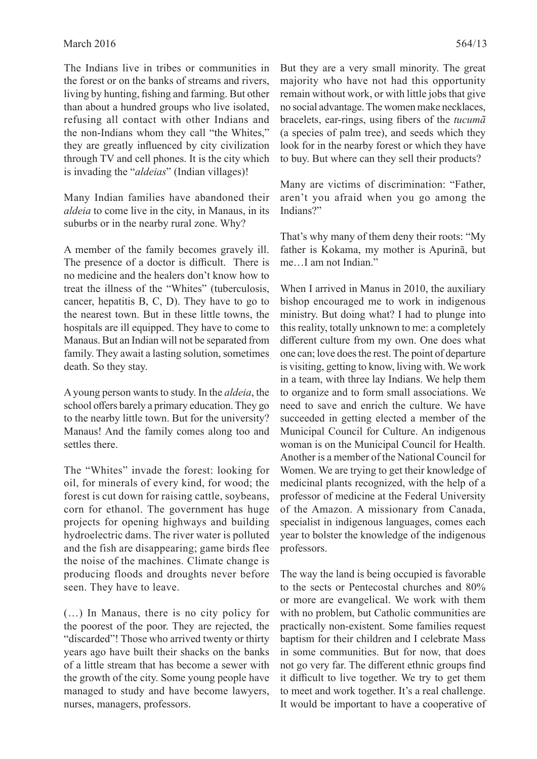The Indians live in tribes or communities in the forest or on the banks of streams and rivers, living by hunting, fishing and farming. But other than about a hundred groups who live isolated, refusing all contact with other Indians and the non-Indians whom they call "the Whites," they are greatly influenced by city civilization through TV and cell phones. It is the city which is invading the "*aldeias*" (Indian villages)!

Many Indian families have abandoned their *aldeia* to come live in the city, in Manaus, in its suburbs or in the nearby rural zone. Why?

A member of the family becomes gravely ill. The presence of a doctor is difficult. There is no medicine and the healers don't know how to treat the illness of the "Whites" (tuberculosis, cancer, hepatitis B, C, D). They have to go to the nearest town. But in these little towns, the hospitals are ill equipped. They have to come to Manaus. But an Indian will not be separated from family. They await a lasting solution, sometimes death. So they stay.

A young person wants to study. In the *aldeia*, the school offers barely a primary education. They go to the nearby little town. But for the university? Manaus! And the family comes along too and settles there.

The "Whites" invade the forest: looking for oil, for minerals of every kind, for wood; the forest is cut down for raising cattle, soybeans, corn for ethanol. The government has huge projects for opening highways and building hydroelectric dams. The river water is polluted and the fish are disappearing; game birds flee the noise of the machines. Climate change is producing floods and droughts never before seen. They have to leave.

(…) In Manaus, there is no city policy for the poorest of the poor. They are rejected, the "discarded"! Those who arrived twenty or thirty years ago have built their shacks on the banks of a little stream that has become a sewer with the growth of the city. Some young people have managed to study and have become lawyers, nurses, managers, professors.

But they are a very small minority. The great majority who have not had this opportunity remain without work, or with little jobs that give no social advantage. The women make necklaces, bracelets, ear-rings, using fibers of the *tucum* $\tilde{a}$ (a species of palm tree), and seeds which they look for in the nearby forest or which they have to buy. But where can they sell their products?

Many are victims of discrimination: "Father, aren't you afraid when you go among the Indians?"

That's why many of them deny their roots: "My father is Kokama, my mother is Apurinã, but me…I am not Indian."

When I arrived in Manus in 2010, the auxiliary bishop encouraged me to work in indigenous ministry. But doing what? I had to plunge into this reality, totally unknown to me: a completely different culture from my own. One does what one can; love does the rest. The point of departure is visiting, getting to know, living with. We work in a team, with three lay Indians. We help them to organize and to form small associations. We need to save and enrich the culture. We have succeeded in getting elected a member of the Municipal Council for Culture. An indigenous woman is on the Municipal Council for Health. Another is a member of the National Council for Women. We are trying to get their knowledge of medicinal plants recognized, with the help of a professor of medicine at the Federal University of the Amazon. A missionary from Canada, specialist in indigenous languages, comes each year to bolster the knowledge of the indigenous professors.

The way the land is being occupied is favorable to the sects or Pentecostal churches and 80% or more are evangelical. We work with them with no problem, but Catholic communities are practically non-existent. Some families request baptism for their children and I celebrate Mass in some communities. But for now, that does not go very far. The different ethnic groups find it difficult to live together. We try to get them to meet and work together. It's a real challenge. It would be important to have a cooperative of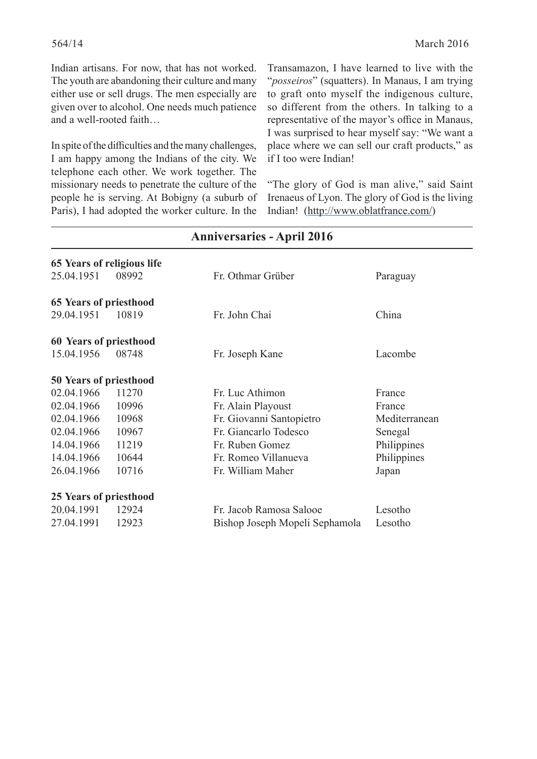Indian artisans. For now, that has not worked. The youth are abandoning their culture and many either use or sell drugs. The men especially are given over to alcohol. One needs much patience and a well-rooted faith…

In spite of the difficulties and the many challenges, I am happy among the Indians of the city. We telephone each other. We work together. The missionary needs to penetrate the culture of the people he is serving. At Bobigny (a suburb of Paris), I had adopted the worker culture. In the

Transamazon, I have learned to live with the "*posseiros*" (squatters). In Manaus, I am trying to graft onto myself the indigenous culture, so different from the others. In talking to a representative of the mayor's office in Manaus, I was surprised to hear myself say: "We want a place where we can sell our craft products," as if I too were Indian!

"The glory of God is man alive," said Saint Irenaeus of Lyon. The glory of God is the living Indian! (http://www.oblatfrance.com/)

|                               | 65 Years of religious life |                                |               |  |  |
|-------------------------------|----------------------------|--------------------------------|---------------|--|--|
| 25.04.1951                    | 08992                      | Fr. Othmar Grüber              | Paraguay      |  |  |
| <b>65 Years of priesthood</b> |                            |                                |               |  |  |
| 29.04.1951                    | 10819                      | Fr. John Chai                  | China         |  |  |
| 60 Years of priesthood        |                            |                                |               |  |  |
| 15.04.1956                    | 08748                      | Fr. Joseph Kane                | Lacombe       |  |  |
| <b>50 Years of priesthood</b> |                            |                                |               |  |  |
| 02.04.1966                    | 11270                      | Fr. Luc Athimon                | France        |  |  |
| 02.04.1966                    | 10996                      | Fr. Alain Playoust             | France        |  |  |
| 02.04.1966                    | 10968                      | Fr. Giovanni Santopietro       | Mediterranean |  |  |
| 02.04.1966                    | 10967                      | Fr. Giancarlo Todesco          | Senegal       |  |  |
| 14.04.1966                    | 11219                      | Fr. Ruben Gomez                | Philippines   |  |  |
| 14.04.1966                    | 10644                      | Fr. Romeo Villanueva           | Philippines   |  |  |
| 26.04.1966                    | 10716                      | Fr. William Maher              | Japan         |  |  |
| 25 Years of priesthood        |                            |                                |               |  |  |
| 20.04.1991                    | 12924                      | Fr. Jacob Ramosa Salooe        | Lesotho       |  |  |
| 27.04.1991                    | 12923                      | Bishop Joseph Mopeli Sephamola | Lesotho       |  |  |
|                               |                            |                                |               |  |  |

# **Anniversaries - April 2016**